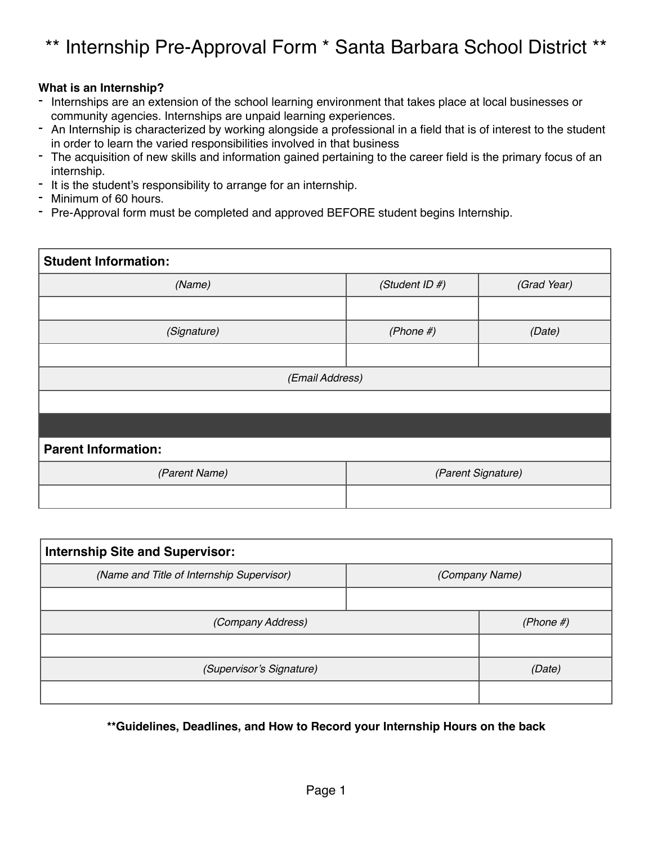# \*\* Internship Pre-Approval Form \* Santa Barbara School District \*\*

#### **What is an Internship?**

- Internships are an extension of the school learning environment that takes place at local businesses or community agencies. Internships are unpaid learning experiences.
- An Internship is characterized by working alongside a professional in a field that is of interest to the student in order to learn the varied responsibilities involved in that business
- The acquisition of new skills and information gained pertaining to the career field is the primary focus of an internship.
- It is the student's responsibility to arrange for an internship.
- Minimum of 60 hours.
- Pre-Approval form must be completed and approved BEFORE student begins Internship.

| <b>Student Information:</b> |                    |             |  |
|-----------------------------|--------------------|-------------|--|
| (Name)                      | (Student ID #)     | (Grad Year) |  |
|                             |                    |             |  |
| (Signature)                 | $(Phone \#)$       | (Date)      |  |
|                             |                    |             |  |
| (Email Address)             |                    |             |  |
|                             |                    |             |  |
|                             |                    |             |  |
| <b>Parent Information:</b>  |                    |             |  |
| (Parent Name)               | (Parent Signature) |             |  |
|                             |                    |             |  |

| <b>Internship Site and Supervisor:</b>    |                |              |  |
|-------------------------------------------|----------------|--------------|--|
| (Name and Title of Internship Supervisor) | (Company Name) |              |  |
|                                           |                |              |  |
| (Company Address)                         |                | (Phone $#$ ) |  |
|                                           |                |              |  |
| (Supervisor's Signature)                  |                | (Date)       |  |
|                                           |                |              |  |

**\*\*Guidelines, Deadlines, and How to Record your Internship Hours on the back**